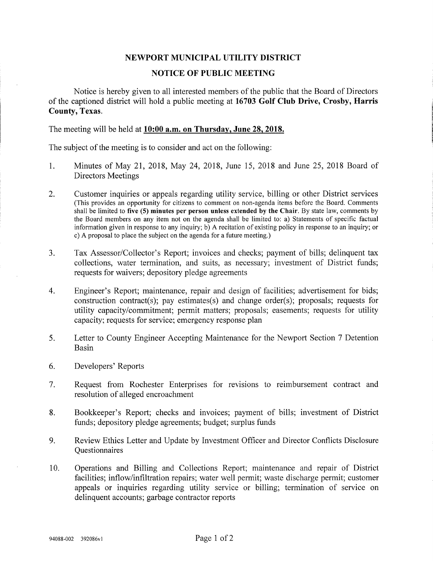## NEWPORT MUNICIPAL UTILITY DISTRICT

## NOTICE OF PUBLIC MEETING

Notice is hereby given to all interested members of the public that the Board of Directors of the captioned district will hold a public meeting at 16703 Golf Club Drive, Crosby, Harris County, Texas.

The meeting will be held at 10:00 **a.m.** on Thursday, June 28, 2018.

The subject of the meeting is to consider and act on the following:

- 1. Minutes of May 21, 2018, May 24, 2018, June 15, 2018 and June 25, 2018 Board of Directors Meetings
- 2. Customer inquiries or appeals regarding utility service, billing or other District services (This provides an opportunity for citizens to comment on non-agenda items before the Board. Comments shall be limited to five (5) minutes per person unless extended by the Chair. By state law, comments by the Board members on any item not on the agenda shall be limited to: a) Statements of specific factual information given in response to any inquiry; b) A recitation of existing policy in response to an inquiry; or c) A proposal to place the subject on the agenda for a future meeting.)
- 3. Tax Assessor/Collector's Report; invoices and checks; payment of bills; delinquent tax collections, water termination, and suits, as necessary; investment of District funds; requests for waivers; depository pledge agreements
- 4. Engineer's Report; maintenance, repair and design of facilities; advertisement for bids; construction contract(s); pay estimates(s) and change order(s); proposals; requests for utility capacity/commitment; permit matters; proposals; easements; requests for utility capacity; requests for service; emergency response plan
- 5. Letter to County Engineer Accepting Maintenance for the Newport Section 7 Detention Basin
- 6. Developers' Reports
- 7. Request from Rochester Enterprises for revisions to reimbursement contract and resolution of alleged encroachment
- 8. Bookkeeper's Report; checks and invoices; payment of bills; investment of District funds; depository pledge agreements; budget; surplus funds
- 9. Review Ethics Letter and Update by Investment Officer and Director Conflicts Disclosure **Ouestionnaires**
- 10. Operations and Billing and Collections Report; maintenance and repair of District facilities; inflow/infiltration repairs; water well permit; waste discharge permit; customer appeals or inquiries regarding utility service or billing; termination of service on delinquent accounts; garbage contractor reports